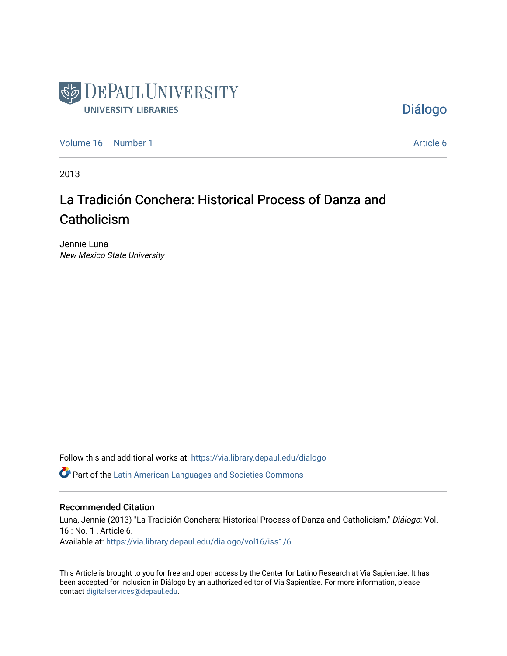

[Diálogo](https://via.library.depaul.edu/dialogo) 

[Volume 16](https://via.library.depaul.edu/dialogo/vol16) [Number 1](https://via.library.depaul.edu/dialogo/vol16/iss1) Article 6

2013

# La Tradición Conchera: Historical Process of Danza and **Catholicism**

Jennie Luna New Mexico State University

Follow this and additional works at: [https://via.library.depaul.edu/dialogo](https://via.library.depaul.edu/dialogo?utm_source=via.library.depaul.edu%2Fdialogo%2Fvol16%2Fiss1%2F6&utm_medium=PDF&utm_campaign=PDFCoverPages) 

 $\bullet$  Part of the Latin American Languages and Societies Commons

# Recommended Citation

Luna, Jennie (2013) "La Tradición Conchera: Historical Process of Danza and Catholicism," Diálogo: Vol. 16 : No. 1 , Article 6. Available at: [https://via.library.depaul.edu/dialogo/vol16/iss1/6](https://via.library.depaul.edu/dialogo/vol16/iss1/6?utm_source=via.library.depaul.edu%2Fdialogo%2Fvol16%2Fiss1%2F6&utm_medium=PDF&utm_campaign=PDFCoverPages) 

This Article is brought to you for free and open access by the Center for Latino Research at Via Sapientiae. It has been accepted for inclusion in Diálogo by an authorized editor of Via Sapientiae. For more information, please contact [digitalservices@depaul.edu](mailto:digitalservices@depaul.edu).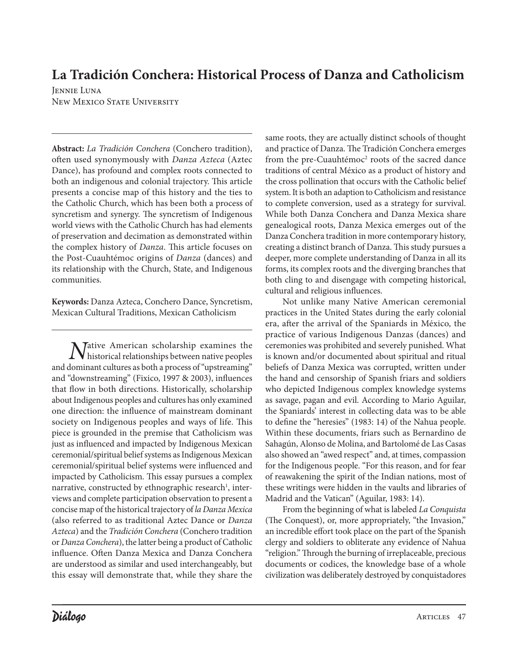# **La Tradición Conchera: Historical Process of Danza and Catholicism**

Jennie Luna New Mexico State University

**Abstract:** *La Tradición Conchera* (Conchero tradition), often used synonymously with *Danza Azteca* (Aztec Dance), has profound and complex roots connected to both an indigenous and colonial trajectory. This article presents a concise map of this history and the ties to the Catholic Church, which has been both a process of syncretism and synergy. The syncretism of Indigenous world views with the Catholic Church has had elements of preservation and decimation as demonstrated within the complex history of *Danza*. This article focuses on the Post-Cuauhtémoc origins of *Danza* (dances) and its relationship with the Church, State, and Indigenous communities.

**Keywords:** Danza Azteca, Conchero Dance, Syncretism, Mexican Cultural Traditions, Mexican Catholicism

*Native American scholarship examines the* **V** historical relationships between native peoples and dominant cultures as both a process of "upstreaming" and "downstreaming" (Fixico, 1997 & 2003), influences that flow in both directions. Historically, scholarship about Indigenous peoples and cultures has only examined one direction: the influence of mainstream dominant society on Indigenous peoples and ways of life. This piece is grounded in the premise that Catholicism was just as influenced and impacted by Indigenous Mexican ceremonial/spiritual belief systems as Indigenous Mexican ceremonial/spiritual belief systems were influenced and impacted by Catholicism. This essay pursues a complex narrative, constructed by ethnographic research<sup>1</sup>, interviews and complete participation observation to present a concise map of the historical trajectory of *la Danza Mexica* (also referred to as traditional Aztec Dance or *Danza Azteca*) and the *Tradición Conchera* (Conchero tradition or *Danza Conchera*), the latter being a product of Catholic influence. Often Danza Mexica and Danza Conchera are understood as similar and used interchangeably, but this essay will demonstrate that, while they share the same roots, they are actually distinct schools of thought and practice of Danza. The Tradición Conchera emerges from the pre-Cuauhtémoc<sup>2</sup> roots of the sacred dance traditions of central México as a product of history and the cross pollination that occurs with the Catholic belief system. It is both an adaption to Catholicism and resistance to complete conversion, used as a strategy for survival. While both Danza Conchera and Danza Mexica share genealogical roots, Danza Mexica emerges out of the Danza Conchera tradition in more contemporary history, creating a distinct branch of Danza. This study pursues a deeper, more complete understanding of Danza in all its forms, its complex roots and the diverging branches that both cling to and disengage with competing historical, cultural and religious influences.

Not unlike many Native American ceremonial practices in the United States during the early colonial era, after the arrival of the Spaniards in México, the practice of various Indigenous Danzas (dances) and ceremonies was prohibited and severely punished. What is known and/or documented about spiritual and ritual beliefs of Danza Mexica was corrupted, written under the hand and censorship of Spanish friars and soldiers who depicted Indigenous complex knowledge systems as savage, pagan and evil. According to Mario Aguilar, the Spaniards' interest in collecting data was to be able to define the "heresies" (1983: 14) of the Nahua people. Within these documents, friars such as Bernardino de Sahagún, Alonso de Molina, and Bartolomé de Las Casas also showed an "awed respect" and, at times, compassion for the Indigenous people. "For this reason, and for fear of reawakening the spirit of the Indian nations, most of these writings were hidden in the vaults and libraries of Madrid and the Vatican" (Aguilar, 1983: 14).

From the beginning of what is labeled *La Conquista* (The Conquest), or, more appropriately, "the Invasion," an incredible effort took place on the part of the Spanish clergy and soldiers to obliterate any evidence of Nahua "religion." Through the burning of irreplaceable, precious documents or codices, the knowledge base of a whole civilization was deliberately destroyed by conquistadores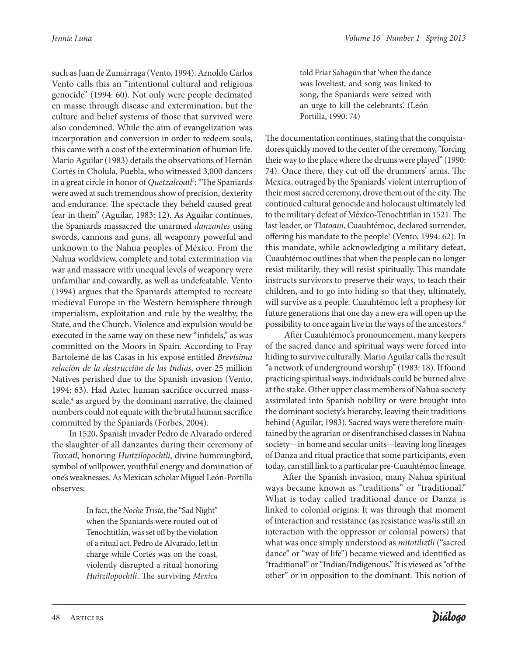such as Juan de Zumárraga (Vento, 1994). Arnoldo Carlos Vento calls this an "intentional cultural and religious genocide" (1994: 60). Not only were people decimated en masse through disease and extermination, but the culture and belief systems of those that survived were also condemned. While the aim of evangelization was incorporation and conversion in order to redeem souls, this came with a cost of the extermination of human life. Mario Aguilar (1983) details the observations of Hernán Cortés in Cholula, Puebla, who witnessed 3,000 dancers in a great circle in honor of *Quetzalcoatl3* : "The Spaniards were awed at such tremendous show of precision, dexterity and endurance. The spectacle they beheld caused great fear in them" (Aguilar, 1983: 12). As Aguilar continues, the Spaniards massacred the unarmed *danzantes* using swords, cannons and guns, all weaponry powerful and unknown to the Nahua peoples of México. From the Nahua worldview, complete and total extermination via war and massacre with unequal levels of weaponry were unfamiliar and cowardly, as well as undefeatable. Vento (1994) argues that the Spaniards attempted to recreate medieval Europe in the Western hemisphere through imperialism, exploitation and rule by the wealthy, the State, and the Church. Violence and expulsion would be executed in the same way on these new "infidels," as was committed on the Moors in Spain. According to Fray Bartolemé de las Casas in his exposé entitled *Brevísima relación de la destrucción de las Indias*, over 25 million Natives perished due to the Spanish invasion (Vento, 1994: 63). Had Aztec human sacrifice occurred massscale,<sup>4</sup> as argued by the dominant narrative, the claimed numbers could not equate with the brutal human sacrifice committed by the Spaniards (Forbes, 2004).

In 1520, Spanish invader Pedro de Alvarado ordered the slaughter of all danzantes during their ceremony of *Toxcatl*, honoring *Huitzilopochtli*, divine hummingbird, symbol of willpower, youthful energy and domination of one's weaknesses. As Mexican scholar Miguel León-Portilla observes:

> In fact, the *Noche Triste*, the "Sad Night" when the Spaniards were routed out of Tenochtitlán, was set off by the violation of a ritual act. Pedro de Alvarado, left in charge while Cortés was on the coast, violently disrupted a ritual honoring *Huitzilopochtli*. The surviving *Mexica*

told Friar Sahagún that 'when the dance was loveliest, and song was linked to song, the Spaniards were seized with an urge to kill the celebrants'. (León-Portilla, 1990: 74)

The documentation continues, stating that the conquistadores quickly moved to the center of the ceremony, "forcing their way to the place where the drums were played" (1990: 74). Once there, they cut off the drummers' arms. The Mexica, outraged by the Spaniards' violent interruption of their most sacred ceremony, drove them out of the city. The continued cultural genocide and holocaust ultimately led to the military defeat of México-Tenochtitlan in 1521. The last leader, or *Tlatoani*, Cuauhtémoc, declared surrender, offering his mandate to the people5 (Vento, 1994: 62). In this mandate, while acknowledging a military defeat, Cuauhtémoc outlines that when the people can no longer resist militarily, they will resist spiritually. This mandate instructs survivors to preserve their ways, to teach their children, and to go into hiding so that they, ultimately, will survive as a people. Cuauhtémoc left a prophesy for future generations that one day a new era will open up the possibility to once again live in the ways of the ancestors.<sup>6</sup>

 After Cuauhtémoc's pronouncement, many keepers of the sacred dance and spiritual ways were forced into hiding to survive culturally. Mario Aguilar calls the result "a network of underground worship" (1983: 18). If found practicing spiritual ways, individuals could be burned alive at the stake. Other upper class members of Nahua society assimilated into Spanish nobility or were brought into the dominant society's hierarchy, leaving their traditions behind (Aguilar, 1983). Sacred ways were therefore maintained by the agrarian or disenfranchised classes in Nahua society—in home and secular units—leaving long lineages of Danza and ritual practice that some participants, even today, can still link to a particular pre-Cuauhtémoc lineage.

After the Spanish invasion, many Nahua spiritual ways became known as "traditions" or "traditional." What is today called traditional dance or Danza is linked to colonial origins. It was through that moment of interaction and resistance (as resistance was/is still an interaction with the oppressor or colonial powers) that what was once simply understood as *mitotiliztli* ("sacred dance" or "way of life") became viewed and identified as "traditional" or "Indian/Indigenous." It is viewed as "of the other" or in opposition to the dominant. This notion of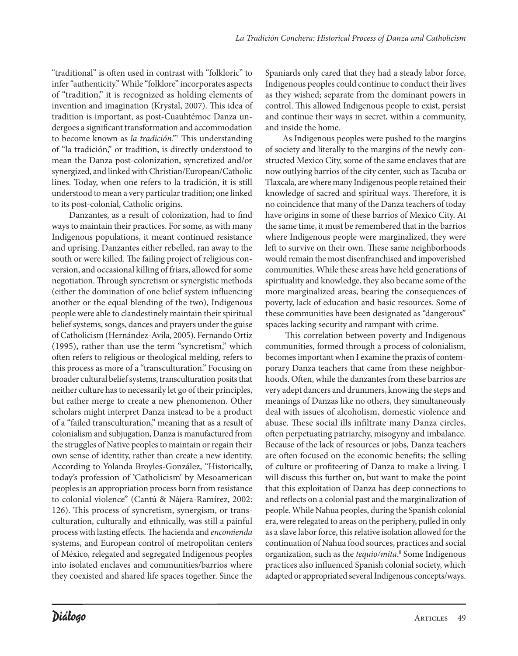"traditional" is often used in contrast with "folkloric" to infer "authenticity." While "folklore" incorporates aspects of "tradition," it is recognized as holding elements of invention and imagination (Krystal, 2007). This idea of tradition is important, as post-Cuauhtémoc Danza undergoes a significant transformation and accommodation to become known as *la tradición*."7 This understanding of "la tradición," or tradition, is directly understood to mean the Danza post-colonization, syncretized and/or synergized, and linked with Christian/European/Catholic lines. Today, when one refers to la tradición, it is still understood to mean a very particular tradition; one linked to its post-colonial, Catholic origins.

Danzantes, as a result of colonization, had to find ways to maintain their practices. For some, as with many Indigenous populations, it meant continued resistance and uprising. Danzantes either rebelled, ran away to the south or were killed. The failing project of religious conversion, and occasional killing of friars, allowed for some negotiation. Through syncretism or synergistic methods (either the domination of one belief system influencing another or the equal blending of the two), Indigenous people were able to clandestinely maintain their spiritual belief systems, songs, dances and prayers under the guise of Catholicism (Hernández-Avila, 2005). Fernando Ortiz (1995), rather than use the term "syncretism," which often refers to religious or theological melding, refers to this process as more of a "transculturation." Focusing on broader cultural belief systems, transculturation posits that neither culture has to necessarily let go of their principles, but rather merge to create a new phenomenon. Other scholars might interpret Danza instead to be a product of a "failed transculturation," meaning that as a result of colonialism and subjugation, Danza is manufactured from the struggles of Native peoples to maintain or regain their own sense of identity, rather than create a new identity. According to Yolanda Broyles-González, "Historically, today's profession of 'Catholicism' by Mesoamerican peoples is an appropriation process born from resistance to colonial violence" (Cantú & Nájera-Ramírez, 2002: 126). This process of syncretism, synergism, or transculturation, culturally and ethnically, was still a painful process with lasting effects. The hacienda and *encomienda* systems, and European control of metropolitan centers of México, relegated and segregated Indigenous peoples into isolated enclaves and communities/barrios where they coexisted and shared life spaces together. Since the Spaniards only cared that they had a steady labor force, Indigenous peoples could continue to conduct their lives as they wished; separate from the dominant powers in control. This allowed Indigenous people to exist, persist and continue their ways in secret, within a community, and inside the home.

As Indigenous peoples were pushed to the margins of society and literally to the margins of the newly constructed Mexico City, some of the same enclaves that are now outlying barrios of the city center, such as Tacuba or Tlaxcala, are where many Indigenous people retained their knowledge of sacred and spiritual ways. Therefore, it is no coincidence that many of the Danza teachers of today have origins in some of these barrios of Mexico City. At the same time, it must be remembered that in the barrios where Indigenous people were marginalized, they were left to survive on their own. These same neighborhoods would remain the most disenfranchised and impoverished communities. While these areas have held generations of spirituality and knowledge, they also became some of the more marginalized areas, bearing the consequences of poverty, lack of education and basic resources. Some of these communities have been designated as "dangerous" spaces lacking security and rampant with crime.

 This correlation between poverty and Indigenous communities, formed through a process of colonialism, becomes important when I examine the praxis of contemporary Danza teachers that came from these neighborhoods. Often, while the danzantes from these barrios are very adept dancers and drummers, knowing the steps and meanings of Danzas like no others, they simultaneously deal with issues of alcoholism, domestic violence and abuse. These social ills infiltrate many Danza circles, often perpetuating patriarchy, misogyny and imbalance. Because of the lack of resources or jobs, Danza teachers are often focused on the economic benefits; the selling of culture or profiteering of Danza to make a living. I will discuss this further on, but want to make the point that this exploitation of Danza has deep connections to and reflects on a colonial past and the marginalization of people. While Nahua peoples, during the Spanish colonial era, were relegated to areas on the periphery, pulled in only as a slave labor force, this relative isolation allowed for the continuation of Nahua food sources, practices and social organization, such as the *tequio/mita*.<sup>8</sup> Some Indigenous practices also influenced Spanish colonial society, which adapted or appropriated several Indigenous concepts/ways.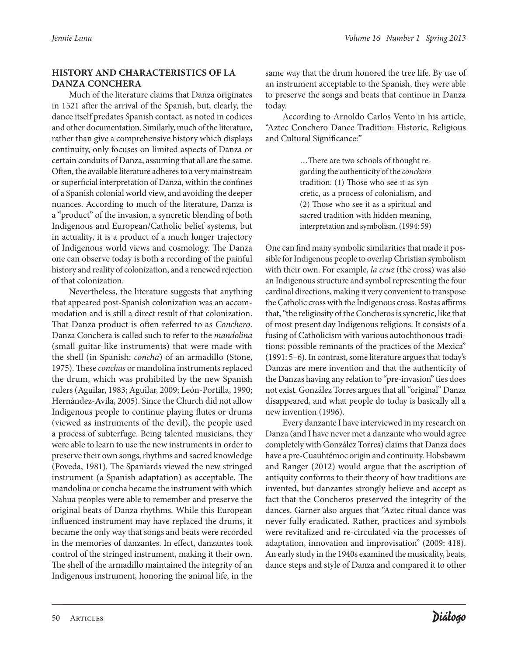### **HISTORY AND CHARACTERISTICS OF LA DANZA CONCHERA**

Much of the literature claims that Danza originates in 1521 after the arrival of the Spanish, but, clearly, the dance itself predates Spanish contact, as noted in codices and other documentation. Similarly, much of the literature, rather than give a comprehensive history which displays continuity, only focuses on limited aspects of Danza or certain conduits of Danza, assuming that all are the same. Often, the available literature adheres to a very mainstream or superficial interpretation of Danza, within the confines of a Spanish colonial world view, and avoiding the deeper nuances. According to much of the literature, Danza is a "product" of the invasion, a syncretic blending of both Indigenous and European/Catholic belief systems, but in actuality, it is a product of a much longer trajectory of Indigenous world views and cosmology. The Danza one can observe today is both a recording of the painful history and reality of colonization, and a renewed rejection of that colonization.

Nevertheless, the literature suggests that anything that appeared post-Spanish colonization was an accommodation and is still a direct result of that colonization. That Danza product is often referred to as *Conchero*. Danza Conchera is called such to refer to the *mandolina* (small guitar-like instruments) that were made with the shell (in Spanish: *concha*) of an armadillo (Stone, 1975). These *conchas* or mandolina instruments replaced the drum, which was prohibited by the new Spanish rulers (Aguilar, 1983; Aguilar, 2009; León-Portilla, 1990; Hernández-Avila, 2005). Since the Church did not allow Indigenous people to continue playing flutes or drums (viewed as instruments of the devil), the people used a process of subterfuge. Being talented musicians, they were able to learn to use the new instruments in order to preserve their own songs, rhythms and sacred knowledge (Poveda, 1981). The Spaniards viewed the new stringed instrument (a Spanish adaptation) as acceptable. The mandolina or concha became the instrument with which Nahua peoples were able to remember and preserve the original beats of Danza rhythms. While this European influenced instrument may have replaced the drums, it became the only way that songs and beats were recorded in the memories of danzantes. In effect, danzantes took control of the stringed instrument, making it their own. The shell of the armadillo maintained the integrity of an Indigenous instrument, honoring the animal life, in the same way that the drum honored the tree life. By use of an instrument acceptable to the Spanish, they were able to preserve the songs and beats that continue in Danza today.

According to Arnoldo Carlos Vento in his article, "Aztec Conchero Dance Tradition: Historic, Religious and Cultural Significance:"

> …There are two schools of thought regarding the authenticity of the *conchero* tradition: (1) Those who see it as syncretic, as a process of colonialism, and (2) Those who see it as a spiritual and sacred tradition with hidden meaning, interpretation and symbolism. (1994: 59)

One can find many symbolic similarities that made it possible for Indigenous people to overlap Christian symbolism with their own. For example, *la cruz* (the cross) was also an Indigenous structure and symbol representing the four cardinal directions, making it very convenient to transpose the Catholic cross with the Indigenous cross. Rostas affirms that, "the religiosity of the Concheros is syncretic, like that of most present day Indigenous religions. It consists of a fusing of Catholicism with various autochthonous traditions: possible remnants of the practices of the Mexica" (1991: 5–6). In contrast, some literature argues that today's Danzas are mere invention and that the authenticity of the Danzas having any relation to "pre-invasion" ties does not exist. González Torres argues that all "original" Danza disappeared, and what people do today is basically all a new invention (1996).

Every danzante I have interviewed in my research on Danza (and I have never met a danzante who would agree completely with González Torres) claims that Danza does have a pre-Cuauhtémoc origin and continuity. Hobsbawm and Ranger (2012) would argue that the ascription of antiquity conforms to their theory of how traditions are invented, but danzantes strongly believe and accept as fact that the Concheros preserved the integrity of the dances. Garner also argues that "Aztec ritual dance was never fully eradicated. Rather, practices and symbols were revitalized and re-circulated via the processes of adaptation, innovation and improvisation" (2009: 418). An early study in the 1940s examined the musicality, beats, dance steps and style of Danza and compared it to other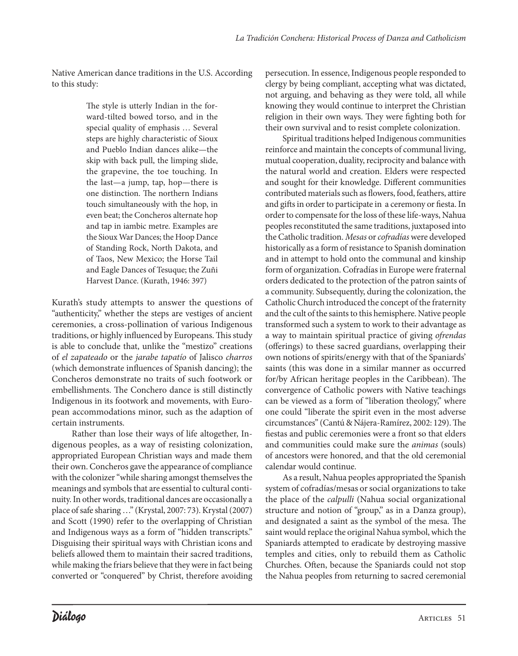Native American dance traditions in the U.S. According to this study:

> The style is utterly Indian in the forward-tilted bowed torso, and in the special quality of emphasis … Several steps are highly characteristic of Sioux and Pueblo Indian dances alike—the skip with back pull, the limping slide, the grapevine, the toe touching. In the last—a jump, tap, hop—there is one distinction. The northern Indians touch simultaneously with the hop, in even beat; the Concheros alternate hop and tap in iambic metre. Examples are the Sioux War Dances; the Hoop Dance of Standing Rock, North Dakota, and of Taos, New Mexico; the Horse Tail and Eagle Dances of Tesuque; the Zuñi Harvest Dance. (Kurath, 1946: 397)

Kurath's study attempts to answer the questions of "authenticity," whether the steps are vestiges of ancient ceremonies, a cross-pollination of various Indigenous traditions, or highly influenced by Europeans. This study is able to conclude that, unlike the "mestizo" creations of *el zapateado* or the *jarabe tapatío* of Jalisco *charros* (which demonstrate influences of Spanish dancing); the Concheros demonstrate no traits of such footwork or embellishments. The Conchero dance is still distinctly Indigenous in its footwork and movements, with European accommodations minor, such as the adaption of certain instruments.

 Rather than lose their ways of life altogether, Indigenous peoples, as a way of resisting colonization, appropriated European Christian ways and made them their own. Concheros gave the appearance of compliance with the colonizer "while sharing amongst themselves the meanings and symbols that are essential to cultural continuity. In other words, traditional dances are occasionally a place of safe sharing …" (Krystal, 2007: 73). Krystal (2007) and Scott (1990) refer to the overlapping of Christian and Indigenous ways as a form of "hidden transcripts." Disguising their spiritual ways with Christian icons and beliefs allowed them to maintain their sacred traditions, while making the friars believe that they were in fact being converted or "conquered" by Christ, therefore avoiding persecution. In essence, Indigenous people responded to clergy by being compliant, accepting what was dictated, not arguing, and behaving as they were told, all while knowing they would continue to interpret the Christian religion in their own ways. They were fighting both for their own survival and to resist complete colonization.

Spiritual traditions helped Indigenous communities reinforce and maintain the concepts of communal living, mutual cooperation, duality, reciprocity and balance with the natural world and creation. Elders were respected and sought for their knowledge. Different communities contributed materials such as flowers, food, feathers, attire and gifts in order to participate in a ceremony or fiesta. In order to compensate for the loss of these life-ways, Nahua peoples reconstituted the same traditions, juxtaposed into the Catholic tradition. *Mesas* or *cofradías* were developed historically as a form of resistance to Spanish domination and in attempt to hold onto the communal and kinship form of organization. Cofradías in Europe were fraternal orders dedicated to the protection of the patron saints of a community. Subsequently, during the colonization, the Catholic Church introduced the concept of the fraternity and the cult of the saints to this hemisphere. Native people transformed such a system to work to their advantage as a way to maintain spiritual practice of giving *ofrendas*  (offerings) to these sacred guardians, overlapping their own notions of spirits/energy with that of the Spaniards' saints (this was done in a similar manner as occurred for/by African heritage peoples in the Caribbean). The convergence of Catholic powers with Native teachings can be viewed as a form of "liberation theology," where one could "liberate the spirit even in the most adverse circumstances" (Cantú & Nájera-Ramírez, 2002: 129). The fiestas and public ceremonies were a front so that elders and communities could make sure the *animas* (souls) of ancestors were honored, and that the old ceremonial calendar would continue.

As a result, Nahua peoples appropriated the Spanish system of cofradías/mesas or social organizations to take the place of the *calpulli* (Nahua social organizational structure and notion of "group," as in a Danza group), and designated a saint as the symbol of the mesa. The saint would replace the original Nahua symbol, which the Spaniards attempted to eradicate by destroying massive temples and cities, only to rebuild them as Catholic Churches. Often, because the Spaniards could not stop the Nahua peoples from returning to sacred ceremonial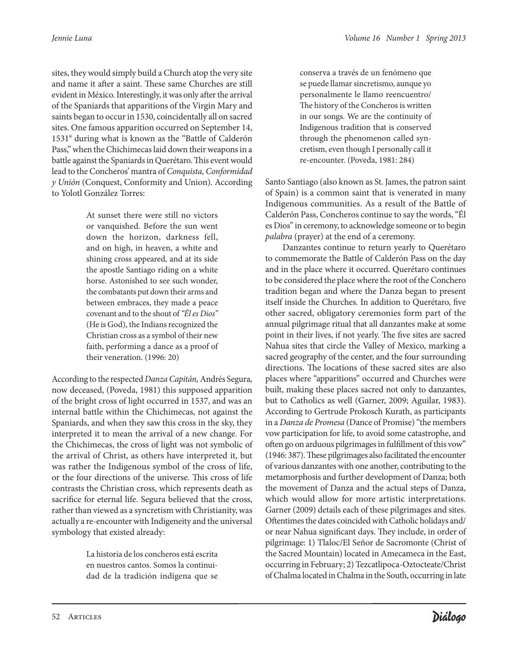sites, they would simply build a Church atop the very site and name it after a saint. These same Churches are still evident in México. Interestingly, it was only after the arrival of the Spaniards that apparitions of the Virgin Mary and saints began to occur in 1530, coincidentally all on sacred sites. One famous apparition occurred on September 14, 15319 during what is known as the "Battle of Calderón Pass," when the Chichimecas laid down their weapons in a battle against the Spaniards in Querétaro. This event would lead to the Concheros' mantra of *Conquista, Conformidad y Unión* (Conquest, Conformity and Union). According to Yolotl González Torres:

> At sunset there were still no victors or vanquished. Before the sun went down the horizon, darkness fell, and on high, in heaven, a white and shining cross appeared, and at its side the apostle Santiago riding on a white horse. Astonished to see such wonder, the combatants put down their arms and between embraces, they made a peace covenant and to the shout of *"Él es Dios"* (He is God), the Indians recognized the Christian cross as a symbol of their new faith, performing a dance as a proof of their veneration. (1996: 20)

According to the respected *Danza Capitán,* Andrés Segura, now deceased, (Poveda, 1981) this supposed apparition of the bright cross of light occurred in 1537, and was an internal battle within the Chichimecas, not against the Spaniards, and when they saw this cross in the sky, they interpreted it to mean the arrival of a new change. For the Chichimecas, the cross of light was not symbolic of the arrival of Christ, as others have interpreted it, but was rather the Indigenous symbol of the cross of life, or the four directions of the universe. This cross of life contrasts the Christian cross, which represents death as sacrifice for eternal life. Segura believed that the cross, rather than viewed as a syncretism with Christianity, was actually a re-encounter with Indigeneity and the universal symbology that existed already:

> La historia de los concheros está escrita en nuestros cantos. Somos la continuidad de la tradición indígena que se

conserva a través de un fenómeno que se puede llamar sincretismo, aunque yo personalmente le llamo reencuentro/ The history of the Concheros is written in our songs. We are the continuity of Indigenous tradition that is conserved through the phenomenon called syncretism, even though I personally call it re-encounter. (Poveda, 1981: 284)

Santo Santiago (also known as St. James, the patron saint of Spain) is a common saint that is venerated in many Indigenous communities. As a result of the Battle of Calderón Pass, Concheros continue to say the words, "Él es Dios" in ceremony, to acknowledge someone or to begin *palabra* (prayer) at the end of a ceremony.

Danzantes continue to return yearly to Querétaro to commemorate the Battle of Calderón Pass on the day and in the place where it occurred. Querétaro continues to be considered the place where the root of the Conchero tradition began and where the Danza began to present itself inside the Churches. In addition to Querétaro, five other sacred, obligatory ceremonies form part of the annual pilgrimage ritual that all danzantes make at some point in their lives, if not yearly. The five sites are sacred Nahua sites that circle the Valley of Mexico, marking a sacred geography of the center, and the four surrounding directions. The locations of these sacred sites are also places where "apparitions" occurred and Churches were built, making these places sacred not only to danzantes, but to Catholics as well (Garner, 2009; Aguilar, 1983). According to Gertrude Prokosch Kurath, as participants in a *Danza de Promesa* (Dance of Promise) "the members vow participation for life, to avoid some catastrophe, and often go on arduous pilgrimages in fulfillment of this vow" (1946: 387). These pilgrimages also facilitated the encounter of various danzantes with one another, contributing to the metamorphosis and further development of Danza; both the movement of Danza and the actual steps of Danza, which would allow for more artistic interpretations. Garner (2009) details each of these pilgrimages and sites. Oftentimes the dates coincided with Catholic holidays and/ or near Nahua significant days. They include, in order of pilgrimage: 1) Tlaloc/El Señor de Sacromonte (Christ of the Sacred Mountain) located in Amecameca in the East, occurring in February; 2) Tezcatlipoca-Oztocteate/Christ of Chalma located in Chalma in the South, occurring in late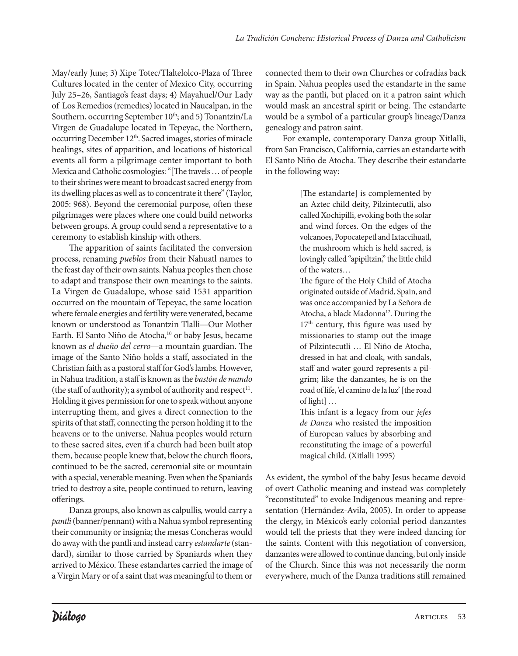May/early June; 3) Xipe Totec/Tlaltelolco-Plaza of Three Cultures located in the center of Mexico City, occurring July 25–26, Santiago's feast days; 4) Mayahuel/Our Lady of Los Remedios (remedies) located in Naucalpan, in the Southern, occurring September 10<sup>th</sup>; and 5) Tonantzin/La Virgen de Guadalupe located in Tepeyac, the Northern, occurring December 12<sup>th</sup>. Sacred images, stories of miracle healings, sites of apparition, and locations of historical events all form a pilgrimage center important to both Mexica and Catholic cosmologies: "[The travels … of people to their shrines were meant to broadcast sacred energy from its dwelling places as well as to concentrate it there" (Taylor, 2005: 968). Beyond the ceremonial purpose, often these pilgrimages were places where one could build networks between groups. A group could send a representative to a ceremony to establish kinship with others.

The apparition of saints facilitated the conversion process, renaming *pueblos* from their Nahuatl names to the feast day of their own saints. Nahua peoples then chose to adapt and transpose their own meanings to the saints. La Virgen de Guadalupe, whose said 1531 apparition occurred on the mountain of Tepeyac, the same location where female energies and fertility were venerated, became known or understood as Tonantzin Tlalli—Our Mother Earth. El Santo Niño de Atocha,<sup>10</sup> or baby Jesus, became known as *el dueño del cerro*—a mountain guardian. The image of the Santo Niño holds a staff, associated in the Christian faith as a pastoral staff for God's lambs. However, in Nahua tradition, a staff is known as the *bastón de mando* (the staff of authority); a symbol of authority and respect<sup>11</sup>. Holding it gives permission for one to speak without anyone interrupting them, and gives a direct connection to the spirits of that staff, connecting the person holding it to the heavens or to the universe. Nahua peoples would return to these sacred sites, even if a church had been built atop them, because people knew that, below the church floors, continued to be the sacred, ceremonial site or mountain with a special, venerable meaning. Even when the Spaniards tried to destroy a site, people continued to return, leaving offerings.

Danza groups, also known as calpullis*,* would carry a *pantli* (banner/pennant) with a Nahua symbol representing their community or insignia; the mesas Concheras would do away with the pantli and instead carry *estandarte* (standard), similar to those carried by Spaniards when they arrived to México. These estandartes carried the image of a Virgin Mary or of a saint that was meaningful to them or

connected them to their own Churches or cofradías back in Spain. Nahua peoples used the estandarte in the same way as the pantli, but placed on it a patron saint which would mask an ancestral spirit or being. The estandarte would be a symbol of a particular group's lineage/Danza genealogy and patron saint.

For example, contemporary Danza group Xitlalli, from San Francisco, California, carries an estandarte with El Santo Niño de Atocha. They describe their estandarte in the following way:

> [The estandarte] is complemented by an Aztec child deity, Pilzintecutli, also called Xochipilli, evoking both the solar and wind forces. On the edges of the volcanoes, Popocatepetl and Ixtaccihuatl, the mushroom which is held sacred, is lovingly called "apipiltzin," the little child of the waters…

> The figure of the Holy Child of Atocha originated outside of Madrid, Spain, and was once accompanied by La Señora de Atocha, a black Madonna<sup>12</sup>. During the 17<sup>th</sup> century, this figure was used by missionaries to stamp out the image of Pilzintecutli … El Niño de Atocha, dressed in hat and cloak, with sandals, staff and water gourd represents a pilgrim; like the danzantes, he is on the road of life, 'el camino de la luz' [the road of light] …

This infant is a legacy from our *jefes de Danza* who resisted the imposition of European values by absorbing and reconstituting the image of a powerful magical child. (Xitlalli 1995)

As evident, the symbol of the baby Jesus became devoid of overt Catholic meaning and instead was completely "reconstituted" to evoke Indigenous meaning and representation (Hernández-Avila, 2005). In order to appease the clergy, in México's early colonial period danzantes would tell the priests that they were indeed dancing for the saints. Content with this negotiation of conversion, danzantes were allowed to continue dancing, but only inside of the Church. Since this was not necessarily the norm everywhere, much of the Danza traditions still remained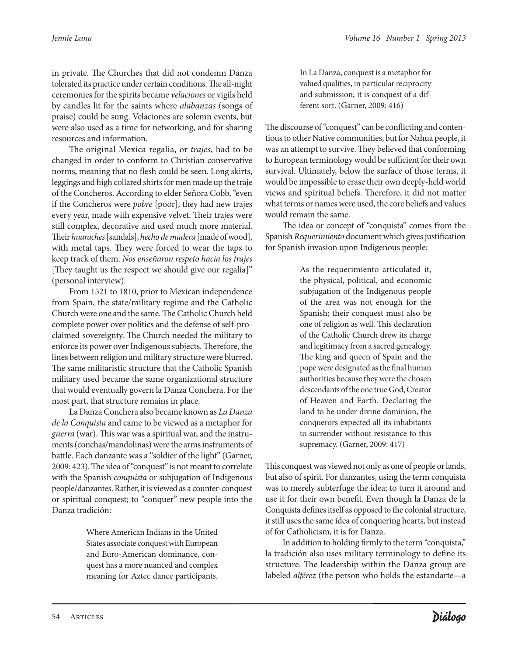in private. The Churches that did not condemn Danza tolerated its practice under certain conditions. The all-night ceremonies for the spirits became *velaciones* or vigils held by candles lit for the saints where *alabanzas* (songs of praise) could be sung. Velaciones are solemn events, but were also used as a time for networking, and for sharing resources and information.

The original Mexica regalia, or *trajes*, had to be changed in order to conform to Christian conservative norms, meaning that no flesh could be seen. Long skirts, leggings and high collared shirts for men made up the traje of the Concheros. According to elder Señora Cobb, "even if the Concheros were *pobre* [poor], they had new trajes every year, made with expensive velvet. Their trajes were still complex, decorative and used much more material. Their *huaraches* [sandals], *hecho de madera* [made of wood], with metal taps. They were forced to wear the taps to keep track of them. *Nos enseñaron respeto hacia los trajes* [They taught us the respect we should give our regalia]" (personal interview).

From 1521 to 1810, prior to Mexican independence from Spain, the state/military regime and the Catholic Church were one and the same. The Catholic Church held complete power over politics and the defense of self-proclaimed sovereignty. The Church needed the military to enforce its power over Indigenous subjects. Therefore, the lines between religion and military structure were blurred. The same militaristic structure that the Catholic Spanish military used became the same organizational structure that would eventually govern la Danza Conchera. For the most part, that structure remains in place.

La Danza Conchera also became known as *La Danza de la Conquista* and came to be viewed as a metaphor for *guerra* (war). This war was a spiritual war, and the instruments (conchas/mandolinas) were the arms instruments of battle. Each danzante was a "soldier of the light" (Garner, 2009: 423). The idea of "conquest" is not meant to correlate with the Spanish *conquista* or subjugation of Indigenous people/danzantes. Rather, it is viewed as a counter-conquest or spiritual conquest; to "conquer" new people into the Danza tradición:

> Where American Indians in the United States associate conquest with European and Euro-American dominance, conquest has a more nuanced and complex meaning for Aztec dance participants.

In La Danza, conquest is a metaphor for valued qualities, in particular reciprocity and submission; it is conquest of a different sort. (Garner, 2009: 416)

The discourse of "conquest" can be conflicting and contentious to other Native communities, but for Nahua people, it was an attempt to survive. They believed that conforming to European terminology would be sufficient for their own survival. Ultimately, below the surface of those terms, it would be impossible to erase their own deeply-held world views and spiritual beliefs. Therefore, it did not matter what terms or names were used, the core beliefs and values would remain the same.

The idea or concept of "conquista" comes from the Spanish *Requerimiento* document which gives justification for Spanish invasion upon Indigenous people:

> As the requerimiento articulated it, the physical, political, and economic subjugation of the Indigenous people of the area was not enough for the Spanish; their conquest must also be one of religion as well. This declaration of the Catholic Church drew its charge and legitimacy from a sacred genealogy. The king and queen of Spain and the pope were designated as the final human authorities because they were the chosen descendants of the one true God, Creator of Heaven and Earth. Declaring the land to be under divine dominion, the conquerors expected all its inhabitants to surrender without resistance to this supremacy. (Garner, 2009: 417)

This conquest was viewed not only as one of people or lands, but also of spirit. For danzantes, using the term conquista was to merely subterfuge the idea; to turn it around and use it for their own benefit. Even though la Danza de la Conquista defines itself as opposed to the colonial structure, it still uses the same idea of conquering hearts, but instead of for Catholicism, it is for Danza.

In addition to holding firmly to the term "conquista," la tradición also uses military terminology to define its structure. The leadership within the Danza group are labeled *alférez* (the person who holds the estandarte—a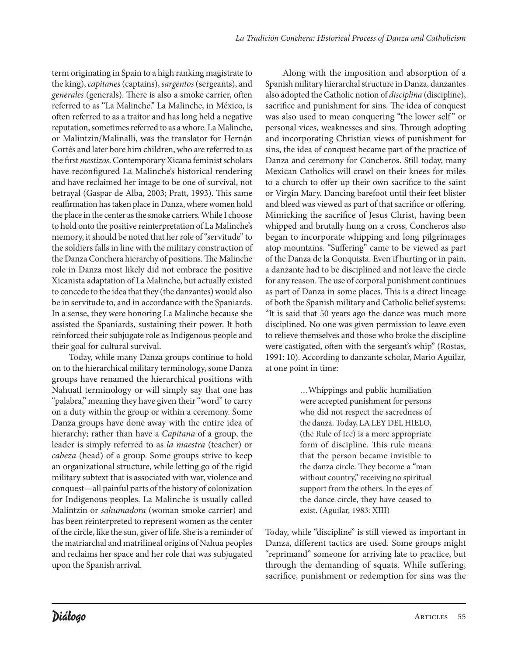term originating in Spain to a high ranking magistrate to the king), *capitanes* (captains), *sargentos* (sergeants), and *generales* (generals). There is also a smoke carrier, often referred to as "La Malinche." La Malinche, in México, is often referred to as a traitor and has long held a negative reputation, sometimes referred to as a whore. La Malinche, or Malintzin/Malinalli, was the translator for Hernán Cortés and later bore him children, who are referred to as the first *mestizos*. Contemporary Xicana feminist scholars have reconfigured La Malinche's historical rendering and have reclaimed her image to be one of survival, not betrayal (Gaspar de Alba, 2003; Pratt, 1993). This same reaffirmation has taken place in Danza, where women hold the place in the center as the smoke carriers. While I choose to hold onto the positive reinterpretation of La Malinche's memory, it should be noted that her role of "servitude" to the soldiers falls in line with the military construction of the Danza Conchera hierarchy of positions. The Malinche role in Danza most likely did not embrace the positive Xicanista adaptation of La Malinche, but actually existed to concede to the idea that they (the danzantes) would also be in servitude to, and in accordance with the Spaniards. In a sense, they were honoring La Malinche because she assisted the Spaniards, sustaining their power. It both reinforced their subjugate role as Indigenous people and their goal for cultural survival.

Today, while many Danza groups continue to hold on to the hierarchical military terminology, some Danza groups have renamed the hierarchical positions with Nahuatl terminology or will simply say that one has "palabra," meaning they have given their "word" to carry on a duty within the group or within a ceremony. Some Danza groups have done away with the entire idea of hierarchy; rather than have a *Capitana* of a group, the leader is simply referred to as *la maestra* (teacher) or *cabeza* (head) of a group. Some groups strive to keep an organizational structure, while letting go of the rigid military subtext that is associated with war, violence and conquest—all painful parts of the history of colonization for Indigenous peoples. La Malinche is usually called Malintzin or *sahumadora* (woman smoke carrier) and has been reinterpreted to represent women as the center of the circle, like the sun, giver of life. She is a reminder of the matriarchal and matrilineal origins of Nahua peoples and reclaims her space and her role that was subjugated upon the Spanish arrival.

Along with the imposition and absorption of a Spanish military hierarchal structure in Danza, danzantes also adopted the Catholic notion of *disciplina* (discipline), sacrifice and punishment for sins. The idea of conquest was also used to mean conquering "the lower self" or personal vices, weaknesses and sins. Through adopting and incorporating Christian views of punishment for sins, the idea of conquest became part of the practice of Danza and ceremony for Concheros. Still today, many Mexican Catholics will crawl on their knees for miles to a church to offer up their own sacrifice to the saint or Virgin Mary. Dancing barefoot until their feet blister and bleed was viewed as part of that sacrifice or offering. Mimicking the sacrifice of Jesus Christ, having been whipped and brutally hung on a cross, Concheros also began to incorporate whipping and long pilgrimages atop mountains. "Suffering" came to be viewed as part of the Danza de la Conquista. Even if hurting or in pain, a danzante had to be disciplined and not leave the circle for any reason. The use of corporal punishment continues as part of Danza in some places. This is a direct lineage of both the Spanish military and Catholic belief systems: "It is said that 50 years ago the dance was much more disciplined. No one was given permission to leave even to relieve themselves and those who broke the discipline were castigated, often with the sergeant's whip" (Rostas, 1991: 10). According to danzante scholar, Mario Aguilar, at one point in time:

> …Whippings and public humiliation were accepted punishment for persons who did not respect the sacredness of the danza. Today, LA LEY DEL HIELO, (the Rule of Ice) is a more appropriate form of discipline. This rule means that the person became invisible to the danza circle. They become a "man without country," receiving no spiritual support from the others. In the eyes of the dance circle, they have ceased to exist. (Aguilar, 1983: XIII)

Today, while "discipline" is still viewed as important in Danza, different tactics are used. Some groups might "reprimand" someone for arriving late to practice, but through the demanding of squats. While suffering, sacrifice, punishment or redemption for sins was the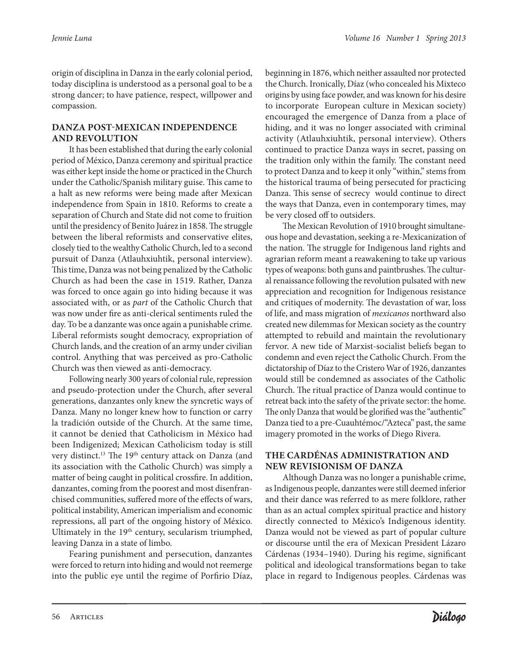origin of disciplina in Danza in the early colonial period, today disciplina is understood as a personal goal to be a strong dancer; to have patience, respect, willpower and compassion.

#### **DANZA POST-MEXICAN INDEPENDENCE AND REVOLUTION**

It has been established that during the early colonial period of México, Danza ceremony and spiritual practice was either kept inside the home or practiced in the Church under the Catholic/Spanish military guise. This came to a halt as new reforms were being made after Mexican independence from Spain in 1810. Reforms to create a separation of Church and State did not come to fruition until the presidency of Benito Juárez in 1858. The struggle between the liberal reformists and conservative elites, closely tied to the wealthy Catholic Church, led to a second pursuit of Danza (Atlauhxiuhtik, personal interview). This time, Danza was not being penalized by the Catholic Church as had been the case in 1519. Rather, Danza was forced to once again go into hiding because it was associated with, or as *part* of the Catholic Church that was now under fire as anti-clerical sentiments ruled the day. To be a danzante was once again a punishable crime. Liberal reformists sought democracy, expropriation of Church lands, and the creation of an army under civilian control. Anything that was perceived as pro-Catholic Church was then viewed as anti-democracy.

Following nearly 300 years of colonial rule, repression and pseudo-protection under the Church, after several generations, danzantes only knew the syncretic ways of Danza. Many no longer knew how to function or carry la tradición outside of the Church. At the same time, it cannot be denied that Catholicism in México had been Indigenized; Mexican Catholicism today is still very distinct.<sup>13</sup> The 19<sup>th</sup> century attack on Danza (and its association with the Catholic Church) was simply a matter of being caught in political crossfire. In addition, danzantes, coming from the poorest and most disenfranchised communities, suffered more of the effects of wars, political instability, American imperialism and economic repressions, all part of the ongoing history of México. Ultimately in the 19<sup>th</sup> century, secularism triumphed, leaving Danza in a state of limbo.

Fearing punishment and persecution, danzantes were forced to return into hiding and would not reemerge into the public eye until the regime of Porfirio Díaz,

beginning in 1876, which neither assaulted nor protected the Church. Ironically, Díaz (who concealed his Mixteco origins by using face powder, and was known for his desire to incorporate European culture in Mexican society) encouraged the emergence of Danza from a place of hiding, and it was no longer associated with criminal activity (Atlauhxiuhtik, personal interview). Others continued to practice Danza ways in secret, passing on the tradition only within the family. The constant need to protect Danza and to keep it only "within," stems from the historical trauma of being persecuted for practicing Danza. This sense of secrecy would continue to direct the ways that Danza, even in contemporary times, may be very closed off to outsiders.

The Mexican Revolution of 1910 brought simultaneous hope and devastation, seeking a re-Mexicanization of the nation. The struggle for Indigenous land rights and agrarian reform meant a reawakening to take up various types of weapons: both guns and paintbrushes. The cultural renaissance following the revolution pulsated with new appreciation and recognition for Indigenous resistance and critiques of modernity. The devastation of war, loss of life, and mass migration of *mexicanos* northward also created new dilemmas for Mexican society as the country attempted to rebuild and maintain the revolutionary fervor. A new tide of Marxist-socialist beliefs began to condemn and even reject the Catholic Church. From the dictatorship of Díaz to the Cristero War of 1926, danzantes would still be condemned as associates of the Catholic Church. The ritual practice of Danza would continue to retreat back into the safety of the private sector: the home. The only Danza that would be glorified was the "authentic" Danza tied to a pre-Cuauhtémoc/"Azteca" past, the same imagery promoted in the works of Diego Rivera.

#### **THE CARDÉNAS ADMINISTRATION AND NEW REVISIONISM OF DANZA**

Although Danza was no longer a punishable crime, as Indigenous people, danzantes were still deemed inferior and their dance was referred to as mere folklore, rather than as an actual complex spiritual practice and history directly connected to México's Indigenous identity. Danza would not be viewed as part of popular culture or discourse until the era of Mexican President Lázaro Cárdenas (1934–1940). During his regime, significant political and ideological transformations began to take place in regard to Indigenous peoples. Cárdenas was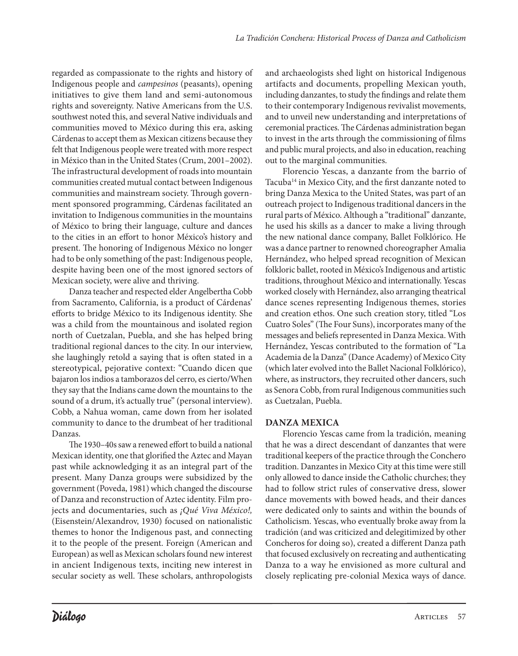regarded as compassionate to the rights and history of Indigenous people and *campesinos* (peasants), opening initiatives to give them land and semi-autonomous rights and sovereignty. Native Americans from the U.S. southwest noted this, and several Native individuals and communities moved to México during this era, asking Cárdenas to accept them as Mexican citizens because they felt that Indigenous people were treated with more respect in México than in the United States (Crum, 2001–2002). The infrastructural development of roads into mountain communities created mutual contact between Indigenous communities and mainstream society. Through government sponsored programming, Cárdenas facilitated an invitation to Indigenous communities in the mountains of México to bring their language, culture and dances to the cities in an effort to honor México's history and present. The honoring of Indigenous México no longer had to be only something of the past: Indigenous people, despite having been one of the most ignored sectors of Mexican society, were alive and thriving.

Danza teacher and respected elder Angelbertha Cobb from Sacramento, California, is a product of Cárdenas' efforts to bridge México to its Indigenous identity. She was a child from the mountainous and isolated region north of Cuetzalan, Puebla, and she has helped bring traditional regional dances to the city. In our interview, she laughingly retold a saying that is often stated in a stereotypical, pejorative context: "Cuando dicen que bajaron los indios a tamborazos del cerro, es cierto/When they say that the Indians came down the mountains to the sound of a drum, it's actually true" (personal interview). Cobb, a Nahua woman, came down from her isolated community to dance to the drumbeat of her traditional Danzas.

The 1930–40s saw a renewed effort to build a national Mexican identity, one that glorified the Aztec and Mayan past while acknowledging it as an integral part of the present. Many Danza groups were subsidized by the government (Poveda, 1981) which changed the discourse of Danza and reconstruction of Aztec identity. Film projects and documentaries, such as *¡Qué Viva México!,* (Eisenstein/Alexandrov, 1930) focused on nationalistic themes to honor the Indigenous past, and connecting it to the people of the present. Foreign (American and European) as well as Mexican scholars found new interest in ancient Indigenous texts, inciting new interest in secular society as well. These scholars, anthropologists

and archaeologists shed light on historical Indigenous artifacts and documents, propelling Mexican youth, including danzantes, to study the findings and relate them to their contemporary Indigenous revivalist movements, and to unveil new understanding and interpretations of ceremonial practices. The Cárdenas administration began to invest in the arts through the commissioning of films and public mural projects, and also in education, reaching out to the marginal communities.

Florencio Yescas, a danzante from the barrio of Tacuba<sup>14</sup> in Mexico City, and the first danzante noted to bring Danza Mexica to the United States, was part of an outreach project to Indigenous traditional dancers in the rural parts of México. Although a "traditional" danzante, he used his skills as a dancer to make a living through the new national dance company, Ballet Folklórico. He was a dance partner to renowned choreographer Amalia Hernández, who helped spread recognition of Mexican folkloric ballet, rooted in México's Indigenous and artistic traditions, throughout México and internationally. Yescas worked closely with Hernández, also arranging theatrical dance scenes representing Indigenous themes, stories and creation ethos. One such creation story, titled "Los Cuatro Soles" (The Four Suns), incorporates many of the messages and beliefs represented in Danza Mexica. With Hernández, Yescas contributed to the formation of "La Academia de la Danza" (Dance Academy) of Mexico City (which later evolved into the Ballet Nacional Folklórico), where, as instructors, they recruited other dancers, such as Senora Cobb, from rural Indigenous communities such as Cuetzalan, Puebla.

# **DANZA MEXICA**

Florencio Yescas came from la tradición, meaning that he was a direct descendant of danzantes that were traditional keepers of the practice through the Conchero tradition. Danzantes in Mexico City at this time were still only allowed to dance inside the Catholic churches; they had to follow strict rules of conservative dress, slower dance movements with bowed heads, and their dances were dedicated only to saints and within the bounds of Catholicism. Yescas, who eventually broke away from la tradición (and was criticized and delegitimized by other Concheros for doing so), created a different Danza path that focused exclusively on recreating and authenticating Danza to a way he envisioned as more cultural and closely replicating pre-colonial Mexica ways of dance.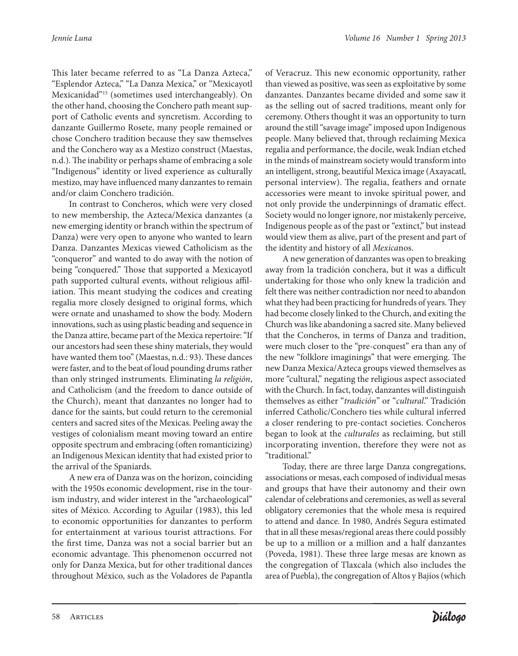This later became referred to as "La Danza Azteca," "Esplendor Azteca," "La Danza Mexica," or "Mexicayotl Mexicanidad"15 (sometimes used interchangeably). On the other hand, choosing the Conchero path meant support of Catholic events and syncretism. According to danzante Guillermo Rosete, many people remained or chose Conchero tradition because they saw themselves and the Conchero way as a Mestizo construct (Maestas, n.d.). The inability or perhaps shame of embracing a sole "Indigenous" identity or lived experience as culturally mestizo, may have influenced many danzantes to remain and/or claim Conchero tradición.

In contrast to Concheros, which were very closed to new membership, the Azteca/Mexica danzantes (a new emerging identity or branch within the spectrum of Danza) were very open to anyone who wanted to learn Danza. Danzantes Mexicas viewed Catholicism as the "conqueror" and wanted to do away with the notion of being "conquered." Those that supported a Mexicayotl path supported cultural events, without religious affiliation. This meant studying the codices and creating regalia more closely designed to original forms, which were ornate and unashamed to show the body. Modern innovations, such as using plastic beading and sequence in the Danza attire, became part of the Mexica repertoire: "If our ancestors had seen these shiny materials, they would have wanted them too" (Maestas, n.d.: 93). These dances were faster, and to the beat of loud pounding drums rather than only stringed instruments. Eliminating *la religión*, and Catholicism (and the freedom to dance outside of the Church), meant that danzantes no longer had to dance for the saints, but could return to the ceremonial centers and sacred sites of the Mexicas. Peeling away the vestiges of colonialism meant moving toward an entire opposite spectrum and embracing (often romanticizing) an Indigenous Mexican identity that had existed prior to the arrival of the Spaniards.

A new era of Danza was on the horizon, coinciding with the 1950s economic development, rise in the tourism industry, and wider interest in the "archaeological" sites of México. According to Aguilar (1983), this led to economic opportunities for danzantes to perform for entertainment at various tourist attractions. For the first time, Danza was not a social barrier but an economic advantage. This phenomenon occurred not only for Danza Mexica, but for other traditional dances throughout México, such as the Voladores de Papantla of Veracruz. This new economic opportunity, rather than viewed as positive, was seen as exploitative by some danzantes. Danzantes became divided and some saw it as the selling out of sacred traditions, meant only for ceremony. Others thought it was an opportunity to turn around the still "savage image" imposed upon Indigenous people. Many believed that, through reclaiming Mexica regalia and performance, the docile, weak Indian etched in the minds of mainstream society would transform into an intelligent, strong, beautiful Mexica image (Axayacatl, personal interview). The regalia, feathers and ornate accessories were meant to invoke spiritual power, and not only provide the underpinnings of dramatic effect. Society would no longer ignore, nor mistakenly perceive, Indigenous people as of the past or "extinct," but instead would view them as alive, part of the present and part of the identity and history of all *Mexica*nos.

A new generation of danzantes was open to breaking away from la tradición conchera, but it was a difficult undertaking for those who only knew la tradición and felt there was neither contradiction nor need to abandon what they had been practicing for hundreds of years. They had become closely linked to the Church, and exiting the Church was like abandoning a sacred site. Many believed that the Concheros, in terms of Danza and tradition, were much closer to the "pre-conquest" era than any of the new "folklore imaginings" that were emerging. The new Danza Mexica/Azteca groups viewed themselves as more "cultural," negating the religious aspect associated with the Church. In fact, today, danzantes will distinguish themselves as either "*tradición*" or "*cultural*." Tradición inferred Catholic/Conchero ties while cultural inferred a closer rendering to pre-contact societies. Concheros began to look at the *culturales* as reclaiming, but still incorporating invention, therefore they were not as "traditional."

Today, there are three large Danza congregations, associations or mesas, each composed of individual mesas and groups that have their autonomy and their own calendar of celebrations and ceremonies, as well as several obligatory ceremonies that the whole mesa is required to attend and dance. In 1980, Andrés Segura estimated that in all these mesas/regional areas there could possibly be up to a million or a million and a half danzantes (Poveda, 1981). These three large mesas are known as the congregation of Tlaxcala (which also includes the area of Puebla), the congregation of Altos y Bajíos (which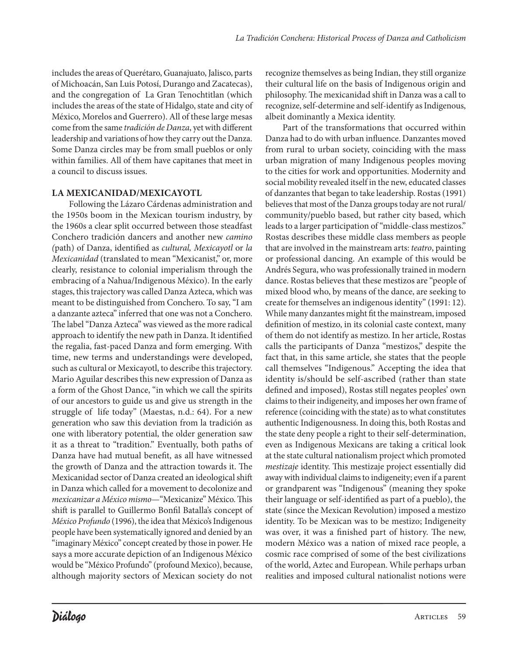includes the areas of Querétaro, Guanajuato, Jalisco, parts of Michoacán, San Luis Potosí, Durango and Zacatecas), and the congregation of La Gran Tenochtitlan (which includes the areas of the state of Hidalgo, state and city of México, Morelos and Guerrero). All of these large mesas come from the same *tradición de Danza*, yet with different leadership and variations of how they carry out the Danza. Some Danza circles may be from small pueblos or only within families. All of them have capitanes that meet in a council to discuss issues.

#### **LA MEXICANIDAD/MEXICAYOTL**

Following the Lázaro Cárdenas administration and the 1950s boom in the Mexican tourism industry, by the 1960s a clear split occurred between those steadfast Conchero tradición dancers and another new *camino (*path) of Danza, identified as *cultural, Mexicayotl* or *la Mexicanidad* (translated to mean "Mexicanist," or, more clearly, resistance to colonial imperialism through the embracing of a Nahua/Indigenous México). In the early stages, this trajectory was called Danza Azteca, which was meant to be distinguished from Conchero. To say, "I am a danzante azteca" inferred that one was not a Conchero. The label "Danza Azteca" was viewed as the more radical approach to identify the new path in Danza. It identified the regalia, fast-paced Danza and form emerging. With time, new terms and understandings were developed, such as cultural or Mexicayotl, to describe this trajectory. Mario Aguilar describes this new expression of Danza as a form of the Ghost Dance, "in which we call the spirits of our ancestors to guide us and give us strength in the struggle of life today" (Maestas, n.d.: 64). For a new generation who saw this deviation from la tradición as one with liberatory potential, the older generation saw it as a threat to "tradition." Eventually, both paths of Danza have had mutual benefit, as all have witnessed the growth of Danza and the attraction towards it. The Mexicanidad sector of Danza created an ideological shift in Danza which called for a movement to decolonize and *mexicanizar a México mismo*—"Mexicanize" México. This shift is parallel to Guillermo Bonfil Batalla's concept of *México Profundo* (1996), the idea that México's Indigenous people have been systematically ignored and denied by an "imaginary México" concept created by those in power. He says a more accurate depiction of an Indigenous México would be "México Profundo" (profound Mexico), because, although majority sectors of Mexican society do not

recognize themselves as being Indian, they still organize their cultural life on the basis of Indigenous origin and philosophy. The mexicanidad shift in Danza was a call to recognize, self-determine and self-identify as Indigenous, albeit dominantly a Mexica identity.

Part of the transformations that occurred within Danza had to do with urban influence. Danzantes moved from rural to urban society, coinciding with the mass urban migration of many Indigenous peoples moving to the cities for work and opportunities. Modernity and social mobility revealed itself in the new, educated classes of danzantes that began to take leadership. Rostas (1991) believes that most of the Danza groups today are not rural/ community/pueblo based, but rather city based, which leads to a larger participation of "middle-class mestizos." Rostas describes these middle class members as people that are involved in the mainstream arts: *teatro*, painting or professional dancing. An example of this would be Andrés Segura, who was professionally trained in modern dance. Rostas believes that these mestizos are "people of mixed blood who, by means of the dance, are seeking to create for themselves an indigenous identity" (1991: 12). While many danzantes might fit the mainstream, imposed definition of mestizo, in its colonial caste context, many of them do not identify as mestizo. In her article, Rostas calls the participants of Danza "mestizos," despite the fact that, in this same article, she states that the people call themselves "Indigenous." Accepting the idea that identity is/should be self-ascribed (rather than state defined and imposed), Rostas still negates peoples' own claims to their indigeneity, and imposes her own frame of reference (coinciding with the state) as to what constitutes authentic Indigenousness. In doing this, both Rostas and the state deny people a right to their self-determination, even as Indigenous Mexicans are taking a critical look at the state cultural nationalism project which promoted *mestizaje* identity. This mestizaje project essentially did away with individual claims to indigeneity; even if a parent or grandparent was "Indigenous" (meaning they spoke their language or self-identified as part of a pueblo), the state (since the Mexican Revolution) imposed a mestizo identity. To be Mexican was to be mestizo; Indigeneity was over, it was a finished part of history. The new, modern México was a nation of mixed race people, a cosmic race comprised of some of the best civilizations of the world, Aztec and European. While perhaps urban realities and imposed cultural nationalist notions were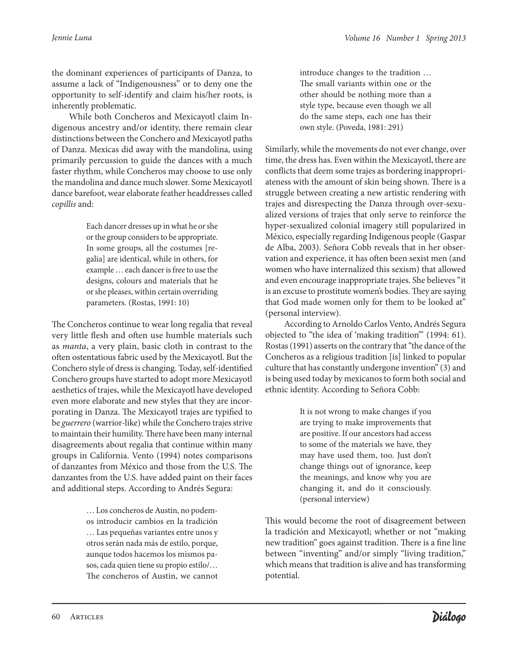the dominant experiences of participants of Danza, to assume a lack of "Indigenousness" or to deny one the opportunity to self-identify and claim his/her roots, is inherently problematic.

While both Concheros and Mexicayotl claim Indigenous ancestry and/or identity, there remain clear distinctions between the Conchero and Mexicayotl paths of Danza. Mexicas did away with the mandolina, using primarily percussion to guide the dances with a much faster rhythm, while Concheros may choose to use only the mandolina and dance much slower. Some Mexicayotl dance barefoot, wear elaborate feather headdresses called *copillis* and:

> Each dancer dresses up in what he or she or the group considers to be appropriate. In some groups, all the costumes [regalia] are identical, while in others, for example … each dancer is free to use the designs, colours and materials that he or she pleases, within certain overriding parameters. (Rostas, 1991: 10)

The Concheros continue to wear long regalia that reveal very little flesh and often use humble materials such as *manta*, a very plain, basic cloth in contrast to the often ostentatious fabric used by the Mexicayotl. But the Conchero style of dress is changing. Today, self-identified Conchero groups have started to adopt more Mexicayotl aesthetics of trajes, while the Mexicayotl have developed even more elaborate and new styles that they are incorporating in Danza. The Mexicayotl trajes are typified to be *guerrero* (warrior-like) while the Conchero trajes strive to maintain their humility. There have been many internal disagreements about regalia that continue within many groups in California. Vento (1994) notes comparisons of danzantes from México and those from the U.S. The danzantes from the U.S. have added paint on their faces and additional steps. According to Andrés Segura:

> … Los concheros de Austin, no podemos introducir cambios en la tradición … Las pequeñas variantes entre unos y otros serán nada más de estilo, porque, aunque todos hacemos los mismos pasos, cada quien tiene su propio estilo/… The concheros of Austin, we cannot

introduce changes to the tradition … The small variants within one or the other should be nothing more than a style type, because even though we all do the same steps, each one has their own style. (Poveda, 1981: 291)

Similarly, while the movements do not ever change, over time, the dress has. Even within the Mexicayotl, there are conflicts that deem some trajes as bordering inappropriateness with the amount of skin being shown. There is a struggle between creating a new artistic rendering with trajes and disrespecting the Danza through over-sexualized versions of trajes that only serve to reinforce the hyper-sexualized colonial imagery still popularized in México, especially regarding Indigenous people (Gaspar de Alba, 2003). Señora Cobb reveals that in her observation and experience, it has often been sexist men (and women who have internalized this sexism) that allowed and even encourage inappropriate trajes. She believes "it is an excuse to prostitute women's bodies. They are saying that God made women only for them to be looked at" (personal interview).

 According to Arnoldo Carlos Vento, Andrés Segura objected to "the idea of 'making tradition'" (1994: 61). Rostas (1991) asserts on the contrary that "the dance of the Concheros as a religious tradition [is] linked to popular culture that has constantly undergone invention" (3) and is being used today by mexicanos to form both social and ethnic identity. According to Señora Cobb:

> It is not wrong to make changes if you are trying to make improvements that are positive. If our ancestors had access to some of the materials we have, they may have used them, too. Just don't change things out of ignorance, keep the meanings, and know why you are changing it, and do it consciously. (personal interview)

This would become the root of disagreement between la tradición and Mexicayotl; whether or not "making new tradition" goes against tradition. There is a fine line between "inventing" and/or simply "living tradition," which means that tradition is alive and has transforming potential.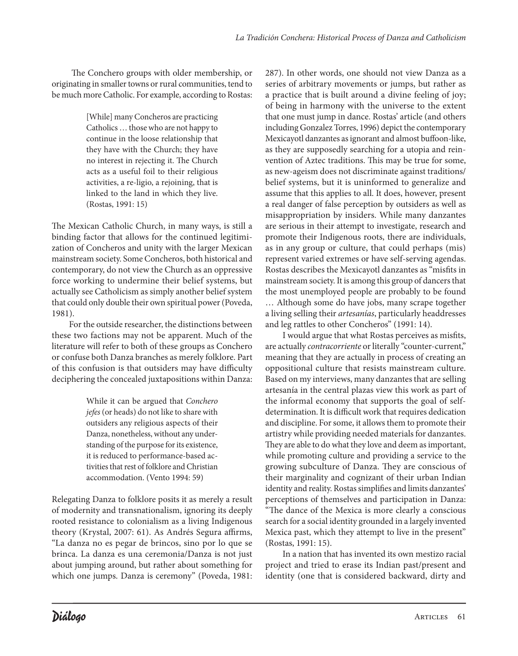The Conchero groups with older membership, or originating in smaller towns or rural communities, tend to be much more Catholic. For example, according to Rostas:

> [While] many Concheros are practicing Catholics … those who are not happy to continue in the loose relationship that they have with the Church; they have no interest in rejecting it. The Church acts as a useful foil to their religious activities, a re-ligio, a rejoining, that is linked to the land in which they live. (Rostas, 1991: 15)

The Mexican Catholic Church, in many ways, is still a binding factor that allows for the continued legitimization of Concheros and unity with the larger Mexican mainstream society. Some Concheros, both historical and contemporary, do not view the Church as an oppressive force working to undermine their belief systems, but actually see Catholicism as simply another belief system that could only double their own spiritual power (Poveda, 1981).

For the outside researcher, the distinctions between these two factions may not be apparent. Much of the literature will refer to both of these groups as Conchero or confuse both Danza branches as merely folklore. Part of this confusion is that outsiders may have difficulty deciphering the concealed juxtapositions within Danza:

> While it can be argued that *Conchero jefes* (or heads) do not like to share with outsiders any religious aspects of their Danza, nonetheless, without any understanding of the purpose for its existence, it is reduced to performance-based activities that rest of folklore and Christian accommodation. (Vento 1994: 59)

Relegating Danza to folklore posits it as merely a result of modernity and transnationalism, ignoring its deeply rooted resistance to colonialism as a living Indigenous theory (Krystal, 2007: 61). As Andrés Segura affirms, "La danza no es pegar de brincos, sino por lo que se brinca. La danza es una ceremonia/Danza is not just about jumping around, but rather about something for which one jumps. Danza is ceremony" (Poveda, 1981: 287). In other words, one should not view Danza as a series of arbitrary movements or jumps, but rather as a practice that is built around a divine feeling of joy; of being in harmony with the universe to the extent that one must jump in dance. Rostas' article (and others including Gonzalez Torres, 1996) depict the contemporary Mexicayotl danzantes as ignorant and almost buffoon-like, as they are supposedly searching for a utopia and reinvention of Aztec traditions. This may be true for some, as new-ageism does not discriminate against traditions/ belief systems, but it is uninformed to generalize and assume that this applies to all. It does, however, present a real danger of false perception by outsiders as well as misappropriation by insiders. While many danzantes are serious in their attempt to investigate, research and promote their Indigenous roots, there are individuals, as in any group or culture, that could perhaps (mis) represent varied extremes or have self-serving agendas. Rostas describes the Mexicayotl danzantes as "misfits in mainstream society. It is among this group of dancers that the most unemployed people are probably to be found … Although some do have jobs, many scrape together a living selling their *artesanías*, particularly headdresses and leg rattles to other Concheros" (1991: 14).

I would argue that what Rostas perceives as misfits, are actually *contracorriente* or literally "counter-current," meaning that they are actually in process of creating an oppositional culture that resists mainstream culture. Based on my interviews, many danzantes that are selling artesanía in the central plazas view this work as part of the informal economy that supports the goal of selfdetermination. It is difficult work that requires dedication and discipline. For some, it allows them to promote their artistry while providing needed materials for danzantes. They are able to do what they love and deem as important, while promoting culture and providing a service to the growing subculture of Danza. They are conscious of their marginality and cognizant of their urban Indian identity and reality. Rostas simplifies and limits danzantes' perceptions of themselves and participation in Danza: "The dance of the Mexica is more clearly a conscious search for a social identity grounded in a largely invented Mexica past, which they attempt to live in the present" (Rostas, 1991: 15).

In a nation that has invented its own mestizo racial project and tried to erase its Indian past/present and identity (one that is considered backward, dirty and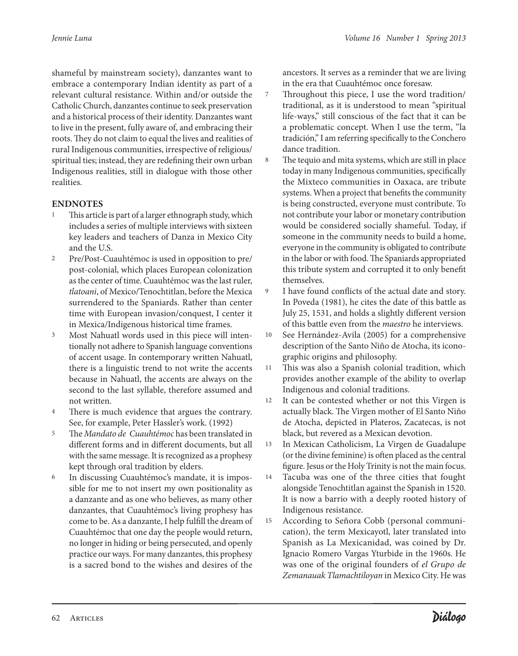shameful by mainstream society), danzantes want to embrace a contemporary Indian identity as part of a relevant cultural resistance. Within and/or outside the Catholic Church, danzantes continue to seek preservation and a historical process of their identity. Danzantes want to live in the present, fully aware of, and embracing their roots. They do not claim to equal the lives and realities of rural Indigenous communities, irrespective of religious/ spiritual ties; instead, they are redefining their own urban Indigenous realities, still in dialogue with those other realities.

#### **ENDNOTES**

- 1 This article is part of a larger ethnograph study, which includes a series of multiple interviews with sixteen key leaders and teachers of Danza in Mexico City and the U.S.
- 2 Pre/Post-Cuauhtémoc is used in opposition to pre/ post-colonial, which places European colonization as the center of time. Cuauhtémoc was the last ruler, *tlatoani*, of Mexico/Tenochtitlan, before the Mexica surrendered to the Spaniards. Rather than center time with European invasion/conquest, I center it in Mexica/Indigenous historical time frames.
- 3 Most Nahuatl words used in this piece will intentionally not adhere to Spanish language conventions of accent usage. In contemporary written Nahuatl, there is a linguistic trend to not write the accents because in Nahuatl, the accents are always on the second to the last syllable, therefore assumed and not written.
- 4 There is much evidence that argues the contrary. See, for example, Peter Hassler's work. (1992)
- 5 The *Mandato de Cuauhtémoc* has been translated in different forms and in different documents, but all with the same message. It is recognized as a prophesy kept through oral tradition by elders.
- 6 In discussing Cuauhtémoc's mandate, it is impossible for me to not insert my own positionality as a danzante and as one who believes, as many other danzantes, that Cuauhtémoc's living prophesy has come to be. As a danzante, I help fulfill the dream of Cuauhtémoc that one day the people would return, no longer in hiding or being persecuted, and openly practice our ways. For many danzantes, this prophesy is a sacred bond to the wishes and desires of the

ancestors. It serves as a reminder that we are living in the era that Cuauhtémoc once foresaw.

- 7 Throughout this piece, I use the word tradition/ traditional, as it is understood to mean "spiritual life-ways," still conscious of the fact that it can be a problematic concept. When I use the term, "la tradición," I am referring specifically to the Conchero dance tradition.
- 8 The tequio and mita systems, which are still in place today in many Indigenous communities, specifically the Mixteco communities in Oaxaca, are tribute systems. When a project that benefits the community is being constructed, everyone must contribute. To not contribute your labor or monetary contribution would be considered socially shameful. Today, if someone in the community needs to build a home, everyone in the community is obligated to contribute in the labor or with food. The Spaniards appropriated this tribute system and corrupted it to only benefit themselves.
- 9 I have found conflicts of the actual date and story. In Poveda (1981), he cites the date of this battle as July 25, 1531, and holds a slightly different version of this battle even from the *maestro* he interviews.
- 10 See Hernández-Avila (2005) for a comprehensive description of the Santo Niño de Atocha, its iconographic origins and philosophy.
- 11 This was also a Spanish colonial tradition, which provides another example of the ability to overlap Indigenous and colonial traditions.
- 12 It can be contested whether or not this Virgen is actually black. The Virgen mother of El Santo Niño de Atocha, depicted in Plateros, Zacatecas, is not black, but revered as a Mexican devotion.
- 13 In Mexican Catholicism, La Virgen de Guadalupe (or the divine feminine) is often placed as the central figure. Jesus or the Holy Trinity is not the main focus.
- 14 Tacuba was one of the three cities that fought alongside Tenochtitlan against the Spanish in 1520. It is now a barrio with a deeply rooted history of Indigenous resistance.
- 15 According to Señora Cobb (personal communication), the term Mexicayotl, later translated into Spanish as La Mexicanidad, was coined by Dr. Ignacio Romero Vargas Yturbide in the 1960s. He was one of the original founders of *el Grupo de Zemanauak Tlamachtiloyan* in Mexico City. He was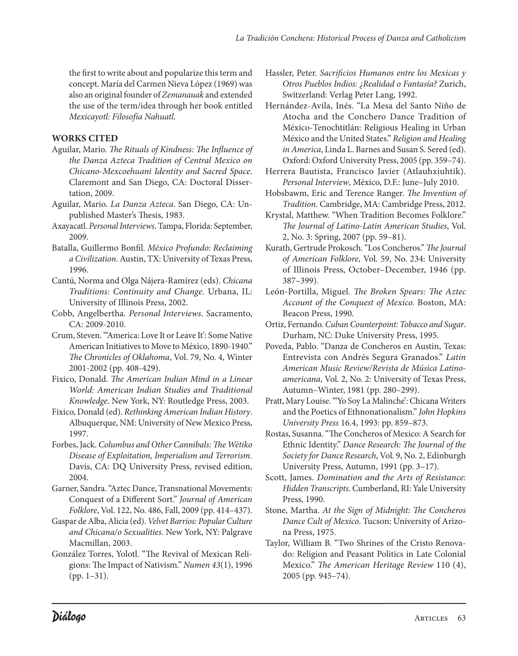the first to write about and popularize this term and concept. María del Carmen Nieva López (1969) was also an original founder of *Zemanauak* and extended the use of the term/idea through her book entitled *Mexicayotl: Filosofía Nahuatl*.

# **WORKS CITED**

- Aguilar, Mario. *The Rituals of Kindness: The Influence of the Danza Azteca Tradition of Central Mexico on Chicano-Mexcoehuani Identity and Sacred Space*. Claremont and San Diego, CA: Doctoral Dissertation, 2009.
- Aguilar, Mario. *La Danza Azteca*. San Diego, CA: Unpublished Master's Thesis, 1983.
- Axayacatl. *Personal Interviews*. Tampa, Florida: September, 2009.
- Batalla, Guillermo Bonfil. *México Profundo: Reclaiming a Civilization*. Austin, TX: University of Texas Press, 1996.
- Cantú, Norma and Olga Nájera-Ramírez (eds). *Chicana Traditions: Continuity and Change*. Urbana, IL: University of Illinois Press, 2002.
- Cobb, Angelbertha*. Personal Interviews*. Sacramento, CA: 2009-2010.
- Crum, Steven. "'America: Love It or Leave It': Some Native American Initiatives to Move to México, 1890-1940." *The Chronicles of Oklahoma*, Vol. 79, No. 4, Winter 2001-2002 (pp. 408-429).
- Fixico, Donald. *The American Indian Mind in a Linear World: American Indian Studies and Traditional Knowledge*. New York, NY: Routledge Press, 2003.
- Fixico, Donald (ed). *Rethinking American Indian History*. Albuquerque, NM: University of New Mexico Press, 1997.
- Forbes, Jack. *Columbus and Other Cannibals: The Wétiko Disease of Exploitation, Imperialism and Terrorism.*  Davis, CA: DQ University Press, revised edition, 2004.
- Garner, Sandra. "Aztec Dance, Transnational Movements: Conquest of a Different Sort." *Journal of American Folklore*, Vol. 122, No. 486, Fall, 2009 (pp. 414–437).
- Gaspar de Alba, Alicia (ed). *Velvet Barrios: Popular Culture and Chicana/o Sexualities*. New York, NY: Palgrave Macmillan, 2003.
- González Torres, Yolotl. "The Revival of Mexican Religions: The Impact of Nativism." *Numen 43*(1), 1996 (pp. 1–31).
- Hassler, Peter. *Sacrificios Humanos entre los Mexicas y Otros Pueblos Indios: ¿Realidad o Fantasía?* Zurich, Switzerland: Verlag Peter Lang, 1992.
- Hernández-Avila, Inés. "La Mesa del Santo Niño de Atocha and the Conchero Dance Tradition of México-Tenochtitlán: Religious Healing in Urban México and the United States." *Religion and Healing in America*, Linda L. Barnes and Susan S. Sered (ed). Oxford: Oxford University Press, 2005 (pp. 359–74).
- Herrera Bautista, Francisco Javier (Atlauhxiuhtik). *Personal Interview*, México, D.F.: June–July 2010.
- Hobsbawm, Eric and Terence Ranger. *The Invention of Tradition*. Cambridge, MA: Cambridge Press, 2012.
- Krystal, Matthew. "When Tradition Becomes Folklore." *The Journal of Latino-Latin American Studies*, Vol. 2, No. 3: Spring, 2007 (pp. 59–81).
- Kurath, Gertrude Prokosch. "Los Concheros." *The Journal of American Folklore*, Vol. 59, No. 234: University of Illinois Press, October–December, 1946 (pp. 387–399).
- León-Portilla, Miguel. *The Broken Spears: The Aztec Account of the Conquest of Mexico.* Boston, MA: Beacon Press, 1990.
- Ortiz, Fernando. *Cuban Counterpoint: Tobacco and Sugar*. Durham, NC: Duke University Press, 1995.
- Poveda, Pablo. "Danza de Concheros en Austin, Texas: Entrevista con Andrés Segura Granados." *Latin American Music Review/Revista de Música Latinoamericana*, Vol. 2, No. 2: University of Texas Press, Autumn–Winter, 1981 (pp. 280–299).
- Pratt, Mary Louise. "'Yo Soy La Malinche': Chicana Writers and the Poetics of Ethnonationalism." *John Hopkins University Press* 16.4, 1993: pp. 859–873.
- Rostas, Susanna. "The Concheros of Mexico: A Search for Ethnic Identity." *Dance Research: The Journal of the Society for Dance Research*, Vol. 9, No. 2, Edinburgh University Press, Autumn, 1991 (pp. 3–17).
- Scott, James. *Domination and the Arts of Resistance: Hidden Transcripts*. Cumberland, RI: Yale University Press, 1990.
- Stone, Martha. *At the Sign of Midnight: The Concheros Dance Cult of Mexico*. Tucson: University of Arizona Press, 1975.
- Taylor, William B. "Two Shrines of the Cristo Renovado: Religion and Peasant Politics in Late Colonial Mexico." *The American Heritage Review* 110 (4), 2005 (pp. 945–74).